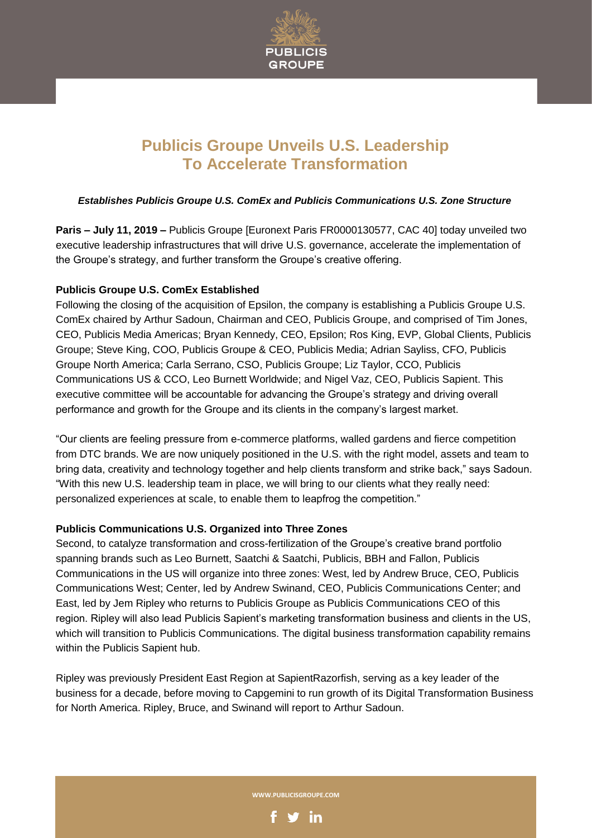

# **Publicis Groupe Unveils U.S. Leadership To Accelerate Transformation**

## *Establishes Publicis Groupe U.S. ComEx and Publicis Communications U.S. Zone Structure*

**Paris – July 11, 2019 –** Publicis Groupe [Euronext Paris FR0000130577, CAC 40] today unveiled two executive leadership infrastructures that will drive U.S. governance, accelerate the implementation of the Groupe's strategy, and further transform the Groupe's creative offering.

## **Publicis Groupe U.S. ComEx Established**

Following the closing of the acquisition of Epsilon, the company is establishing a Publicis Groupe U.S. ComEx chaired by Arthur Sadoun, Chairman and CEO, Publicis Groupe, and comprised of Tim Jones, CEO, Publicis Media Americas; Bryan Kennedy, CEO, Epsilon; Ros King, EVP, Global Clients, Publicis Groupe; Steve King, COO, Publicis Groupe & CEO, Publicis Media; Adrian Sayliss, CFO, Publicis Groupe North America; Carla Serrano, CSO, Publicis Groupe; Liz Taylor, CCO, Publicis Communications US & CCO, Leo Burnett Worldwide; and Nigel Vaz, CEO, Publicis Sapient. This executive committee will be accountable for advancing the Groupe's strategy and driving overall performance and growth for the Groupe and its clients in the company's largest market.

"Our clients are feeling pressure from e-commerce platforms, walled gardens and fierce competition from DTC brands. We are now uniquely positioned in the U.S. with the right model, assets and team to bring data, creativity and technology together and help clients transform and strike back," says Sadoun. "With this new U.S. leadership team in place, we will bring to our clients what they really need: personalized experiences at scale, to enable them to leapfrog the competition."

## **Publicis Communications U.S. Organized into Three Zones**

Second, to catalyze transformation and cross-fertilization of the Groupe's creative brand portfolio spanning brands such as Leo Burnett, Saatchi & Saatchi, Publicis, BBH and Fallon, Publicis Communications in the US will organize into three zones: West, led by Andrew Bruce, CEO, Publicis Communications West; Center, led by Andrew Swinand, CEO, Publicis Communications Center; and East, led by Jem Ripley who returns to Publicis Groupe as Publicis Communications CEO of this region. Ripley will also lead Publicis Sapient's marketing transformation business and clients in the US, which will transition to Publicis Communications. The digital business transformation capability remains within the Publicis Sapient hub.

Ripley was previously President East Region at SapientRazorfish, serving as a key leader of the business for a decade, before moving to Capgemini to run growth of its Digital Transformation Business for North America. Ripley, Bruce, and Swinand will report to Arthur Sadoun.

**WWW.PUBLICISGROUPE.COM**